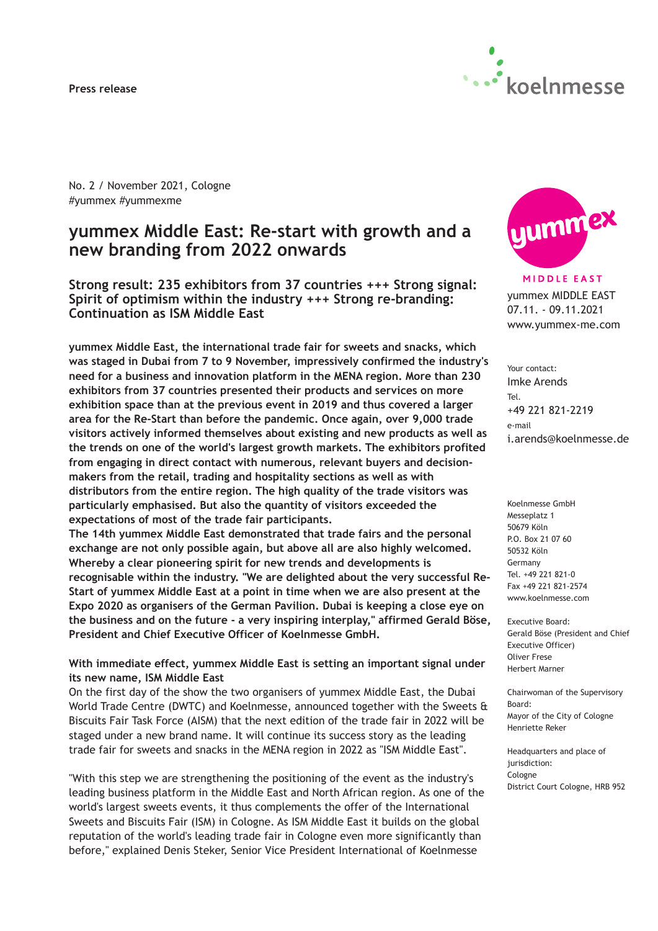#### **Press release**



No. 2 / November 2021, Cologne #yummex #yummexme

# **yummex Middle East: Re-start with growth and a new branding from 2022 onwards**

**Strong result: 235 exhibitors from 37 countries +++ Strong signal: Spirit of optimism within the industry +++ Strong re-branding: Continuation as ISM Middle East**

**yummex Middle East, the international trade fair for sweets and snacks, which was staged in Dubai from 7 to 9 November, impressively confirmed the industry's need for a business and innovation platform in the MENA region. More than 230 exhibitors from 37 countries presented their products and services on more exhibition space than at the previous event in 2019 and thus covered a larger area for the Re-Start than before the pandemic. Once again, over 9,000 trade visitors actively informed themselves about existing and new products as well as the trends on one of the world's largest growth markets. The exhibitors profited from engaging in direct contact with numerous, relevant buyers and decisionmakers from the retail, trading and hospitality sections as well as with distributors from the entire region. The high quality of the trade visitors was particularly emphasised. But also the quantity of visitors exceeded the expectations of most of the trade fair participants.**

**The 14th yummex Middle East demonstrated that trade fairs and the personal exchange are not only possible again, but above all are also highly welcomed. Whereby a clear pioneering spirit for new trends and developments is recognisable within the industry. "We are delighted about the very successful Re-Start of yummex Middle East at a point in time when we are also present at the Expo 2020 as organisers of the German Pavilion. Dubai is keeping a close eye on the business and on the future - a very inspiring interplay," affirmed Gerald Böse, President and Chief Executive Officer of Koelnmesse GmbH.**

### **With immediate effect, yummex Middle East is setting an important signal under its new name, ISM Middle East**

On the first day of the show the two organisers of yummex Middle East, the Dubai World Trade Centre (DWTC) and Koelnmesse, announced together with the Sweets & Biscuits Fair Task Force (AISM) that the next edition of the trade fair in 2022 will be staged under a new brand name. It will continue its success story as the leading trade fair for sweets and snacks in the MENA region in 2022 as "ISM Middle East".

"With this step we are strengthening the positioning of the event as the industry's leading business platform in the Middle East and North African region. As one of the world's largest sweets events, it thus complements the offer of the International Sweets and Biscuits Fair (ISM) in Cologne. As ISM Middle East it builds on the global reputation of the world's leading trade fair in Cologne even more significantly than before," explained Denis Steker, Senior Vice President International of Koelnmesse



**MIDDLE EAST** yummex MIDDLE EAST 07.11. - 09.11.2021 www.yummex-me.com

Your contact: Imke Arends Tel. +49 221 821-2219 e-mail i.arends@koelnmesse.de

Koelnmesse GmbH Messeplatz 1 50679 Köln P.O. Box 21 07 60 50532 Köln Germany Tel. +49 221 821-0 Fax +49 221 821-2574 www.koelnmesse.com

Executive Board: Gerald Böse (President and Chief Executive Officer) Oliver Frese Herbert Marner

Chairwoman of the Supervisory Board: Mayor of the City of Cologne Henriette Reker

Headquarters and place of jurisdiction: Cologne District Court Cologne, HRB 952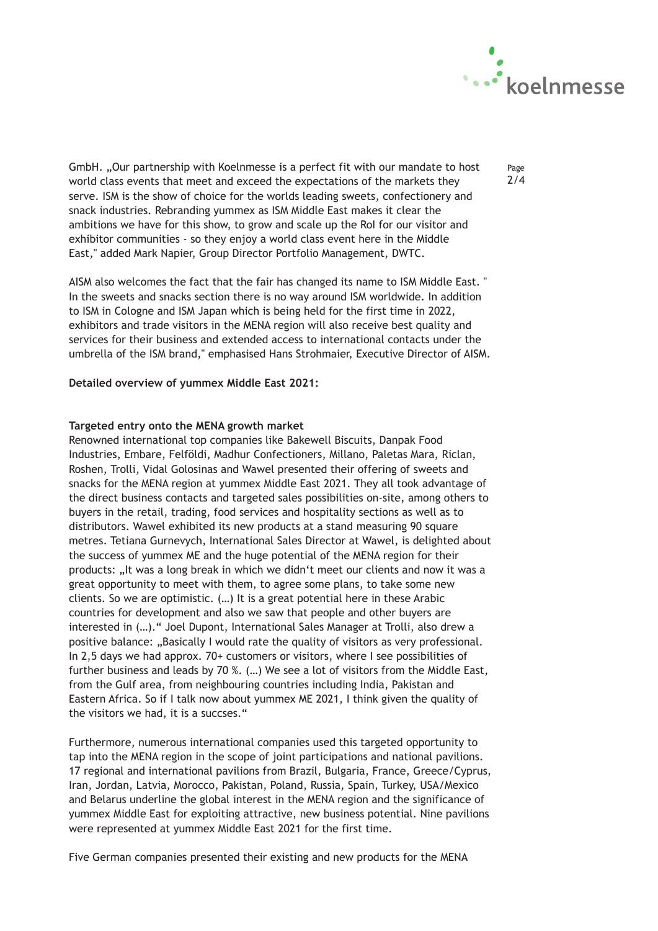

GmbH. "Our partnership with Koelnmesse is a perfect fit with our mandate to host world class events that meet and exceed the expectations of the markets they serve. ISM is the show of choice for the worlds leading sweets, confectionery and snack industries. Rebranding yummex as ISM Middle East makes it clear the ambitions we have for this show, to grow and scale up the RoI for our visitor and exhibitor communities - so they enjoy a world class event here in the Middle East," added Mark Napier, Group Director Portfolio Management, DWTC.

AISM also welcomes the fact that the fair has changed its name to ISM Middle East. " In the sweets and snacks section there is no way around ISM worldwide. In addition to ISM in Cologne and ISM Japan which is being held for the first time in 2022, exhibitors and trade visitors in the MENA region will also receive best quality and services for their business and extended access to international contacts under the umbrella of the ISM brand," emphasised Hans Strohmaier, Executive Director of AISM.

### **Detailed overview of yummex Middle East 2021:**

### **Targeted entry onto the MENA growth market**

Renowned international top companies like Bakewell Biscuits, Danpak Food Industries, Embare, Felföldi, Madhur Confectioners, Millano, Paletas Mara, Riclan, Roshen, Trolli, Vidal Golosinas and Wawel presented their offering of sweets and snacks for the MENA region at yummex Middle East 2021. They all took advantage of the direct business contacts and targeted sales possibilities on-site, among others to buyers in the retail, trading, food services and hospitality sections as well as to distributors. Wawel exhibited its new products at a stand measuring 90 square metres. Tetiana Gurnevych, International Sales Director at Wawel, is delighted about the success of yummex ME and the huge potential of the MENA region for their products: "It was a long break in which we didn't meet our clients and now it was a great opportunity to meet with them, to agree some plans, to take some new clients. So we are optimistic. (…) It is a great potential here in these Arabic countries for development and also we saw that people and other buyers are interested in (…)." Joel Dupont, International Sales Manager at Trolli, also drew a positive balance: "Basically I would rate the quality of visitors as very professional. In 2,5 days we had approx. 70+ customers or visitors, where I see possibilities of further business and leads by 70 %. (…) We see a lot of visitors from the Middle East, from the Gulf area, from neighbouring countries including India, Pakistan and Eastern Africa. So if I talk now about yummex ME 2021, I think given the quality of the visitors we had, it is a succses."

Furthermore, numerous international companies used this targeted opportunity to tap into the MENA region in the scope of joint participations and national pavilions. 17 regional and international pavilions from Brazil, Bulgaria, France, Greece/Cyprus, Iran, Jordan, Latvia, Morocco, Pakistan, Poland, Russia, Spain, Turkey, USA/Mexico and Belarus underline the global interest in the MENA region and the significance of yummex Middle East for exploiting attractive, new business potential. Nine pavilions were represented at yummex Middle East 2021 for the first time.

Five German companies presented their existing and new products for the MENA

Page 2/4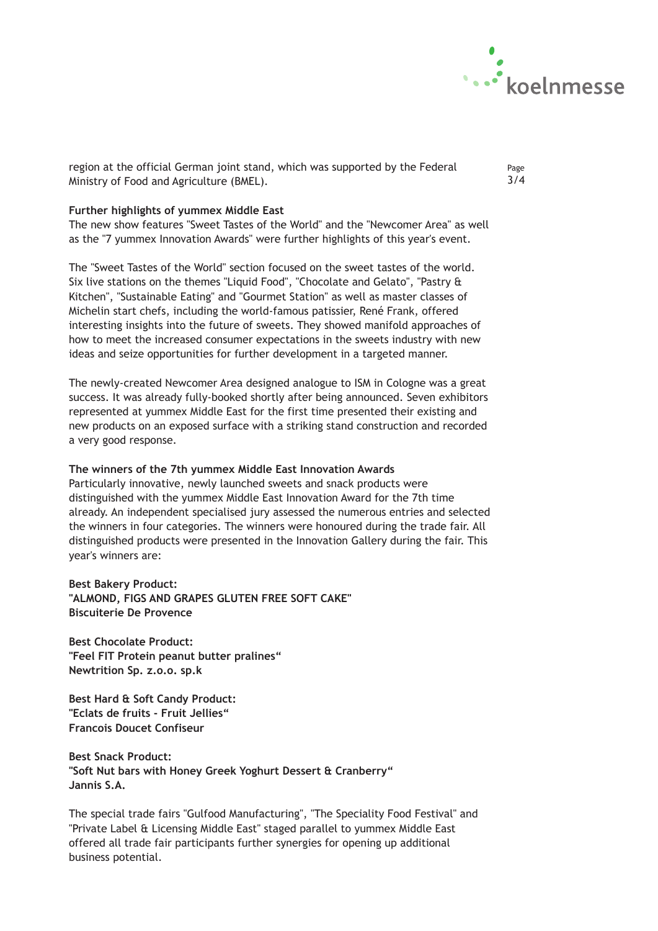

region at the official German joint stand, which was supported by the Federal Ministry of Food and Agriculture (BMEL).

Page 3/4

## **Further highlights of yummex Middle East**

The new show features "Sweet Tastes of the World" and the "Newcomer Area" as well as the "7 yummex Innovation Awards" were further highlights of this year's event.

The "Sweet Tastes of the World" section focused on the sweet tastes of the world. Six live stations on the themes "Liquid Food", "Chocolate and Gelato", "Pastry & Kitchen", "Sustainable Eating" and "Gourmet Station" as well as master classes of Michelin start chefs, including the world-famous patissier, René Frank, offered interesting insights into the future of sweets. They showed manifold approaches of how to meet the increased consumer expectations in the sweets industry with new ideas and seize opportunities for further development in a targeted manner.

The newly-created Newcomer Area designed analogue to ISM in Cologne was a great success. It was already fully-booked shortly after being announced. Seven exhibitors represented at yummex Middle East for the first time presented their existing and new products on an exposed surface with a striking stand construction and recorded a very good response.

### **The winners of the 7th yummex Middle East Innovation Awards**

Particularly innovative, newly launched sweets and snack products were distinguished with the yummex Middle East Innovation Award for the 7th time already. An independent specialised jury assessed the numerous entries and selected the winners in four categories. The winners were honoured during the trade fair. All distinguished products were presented in the Innovation Gallery during the fair. This year's winners are:

**Best Bakery Product: "ALMOND, FIGS AND GRAPES GLUTEN FREE SOFT CAKE" Biscuiterie De Provence**

**Best Chocolate Product: "Feel FIT Protein peanut butter pralines" Newtrition Sp. z.o.o. sp.k**

**Best Hard & Soft Candy Product: "Eclats de fruits - Fruit Jellies" Francois Doucet Confiseur**

**Best Snack Product: "Soft Nut bars with Honey Greek Yoghurt Dessert & Cranberry" Jannis S.A.**

The special trade fairs "Gulfood Manufacturing", "The Speciality Food Festival" and "Private Label & Licensing Middle East" staged parallel to yummex Middle East offered all trade fair participants further synergies for opening up additional business potential.